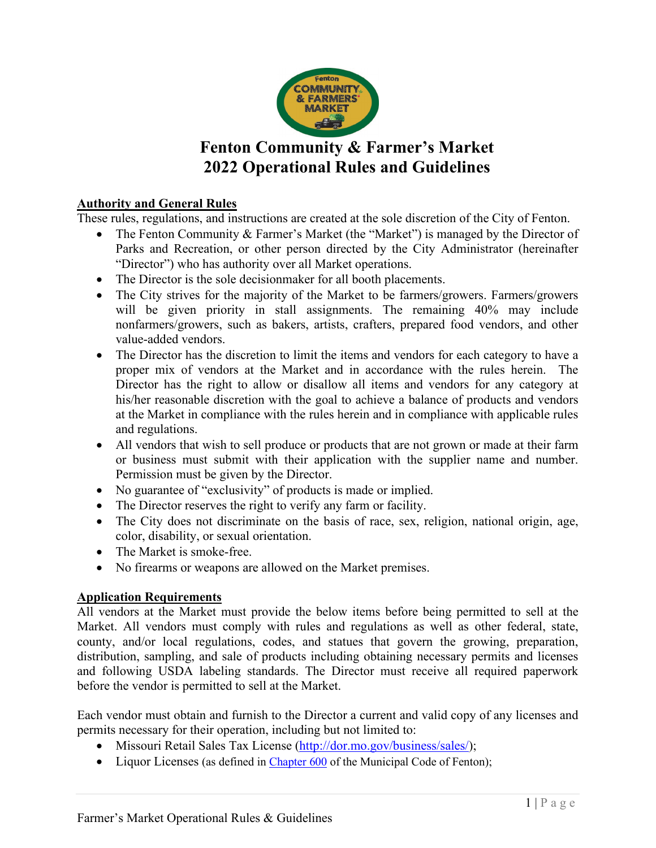

# **Fenton Community & Farmer's Market 2022 Operational Rules and Guidelines**

#### **Authority and General Rules**

These rules, regulations, and instructions are created at the sole discretion of the City of Fenton.

- The Fenton Community & Farmer's Market (the "Market") is managed by the Director of Parks and Recreation, or other person directed by the City Administrator (hereinafter "Director") who has authority over all Market operations.
- The Director is the sole decisionmaker for all booth placements.
- The City strives for the majority of the Market to be farmers/growers. Farmers/growers will be given priority in stall assignments. The remaining 40% may include nonfarmers/growers, such as bakers, artists, crafters, prepared food vendors, and other value-added vendors.
- The Director has the discretion to limit the items and vendors for each category to have a proper mix of vendors at the Market and in accordance with the rules herein. The Director has the right to allow or disallow all items and vendors for any category at his/her reasonable discretion with the goal to achieve a balance of products and vendors at the Market in compliance with the rules herein and in compliance with applicable rules and regulations.
- All vendors that wish to sell produce or products that are not grown or made at their farm or business must submit with their application with the supplier name and number. Permission must be given by the Director.
- No guarantee of "exclusivity" of products is made or implied.
- The Director reserves the right to verify any farm or facility.
- The City does not discriminate on the basis of race, sex, religion, national origin, age, color, disability, or sexual orientation.
- The Market is smoke-free.
- No firearms or weapons are allowed on the Market premises.

#### **Application Requirements**

All vendors at the Market must provide the below items before being permitted to sell at the Market. All vendors must comply with rules and regulations as well as other federal, state, county, and/or local regulations, codes, and statues that govern the growing, preparation, distribution, sampling, and sale of products including obtaining necessary permits and licenses and following USDA labeling standards. The Director must receive all required paperwork before the vendor is permitted to sell at the Market.

Each vendor must obtain and furnish to the Director a current and valid copy of any licenses and permits necessary for their operation, including but not limited to:

- Missouri Retail Sales Tax License (http://dor.mo.gov/business/sales/);
- Liquor Licenses (as defined in Chapter 600 of the Municipal Code of Fenton);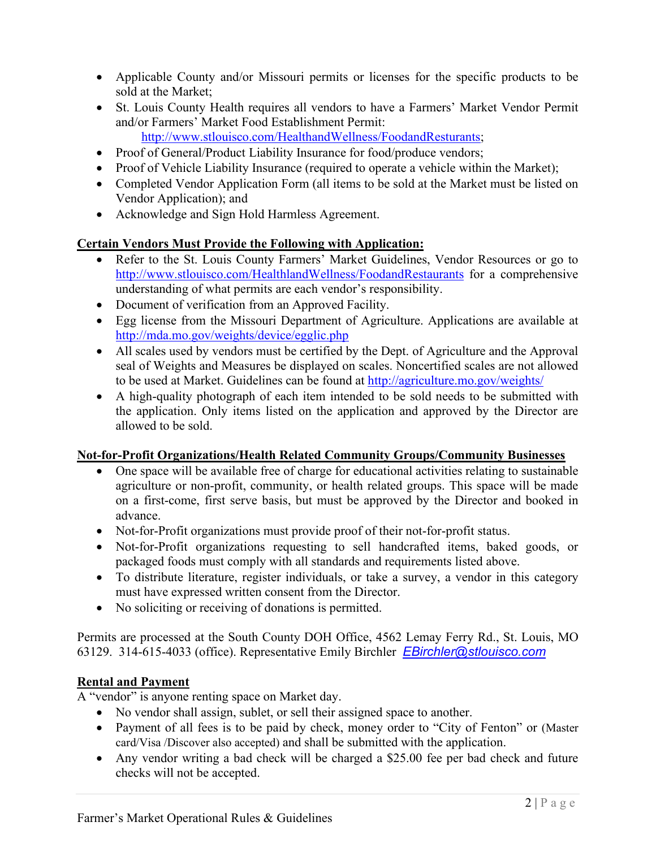- Applicable County and/or Missouri permits or licenses for the specific products to be sold at the Market;
- St. Louis County Health requires all vendors to have a Farmers' Market Vendor Permit and/or Farmers' Market Food Establishment Permit:
	- http://www.stlouisco.com/HealthandWellness/FoodandResturants;
- Proof of General/Product Liability Insurance for food/produce vendors;
- Proof of Vehicle Liability Insurance (required to operate a vehicle within the Market);
- Completed Vendor Application Form (all items to be sold at the Market must be listed on Vendor Application); and
- Acknowledge and Sign Hold Harmless Agreement.

# **Certain Vendors Must Provide the Following with Application:**

- Refer to the St. Louis County Farmers' Market Guidelines, Vendor Resources or go to http://www.stlouisco.com/HealthlandWellness/FoodandRestaurants for a comprehensive understanding of what permits are each vendor's responsibility.
- Document of verification from an Approved Facility.
- Egg license from the Missouri Department of Agriculture. Applications are available at http://mda.mo.gov/weights/device/egglic.php
- All scales used by vendors must be certified by the Dept. of Agriculture and the Approval seal of Weights and Measures be displayed on scales. Noncertified scales are not allowed to be used at Market. Guidelines can be found at http://agriculture.mo.gov/weights/
- A high-quality photograph of each item intended to be sold needs to be submitted with the application. Only items listed on the application and approved by the Director are allowed to be sold.

# **Not-for-Profit Organizations/Health Related Community Groups/Community Businesses**

- One space will be available free of charge for educational activities relating to sustainable agriculture or non-profit, community, or health related groups. This space will be made on a first-come, first serve basis, but must be approved by the Director and booked in advance.
- Not-for-Profit organizations must provide proof of their not-for-profit status.
- Not-for-Profit organizations requesting to sell handcrafted items, baked goods, or packaged foods must comply with all standards and requirements listed above.
- To distribute literature, register individuals, or take a survey, a vendor in this category must have expressed written consent from the Director.
- No soliciting or receiving of donations is permitted.

Permits are processed at the South County DOH Office, 4562 Lemay Ferry Rd., St. Louis, MO 63129. 314-615-4033 (office). Representative Emily Birchler *EBirchler@stlouisco.com*

# **Rental and Payment**

A "vendor" is anyone renting space on Market day.

- No vendor shall assign, sublet, or sell their assigned space to another.
- Payment of all fees is to be paid by check, money order to "City of Fenton" or (Master card/Visa /Discover also accepted) and shall be submitted with the application.
- Any vendor writing a bad check will be charged a \$25.00 fee per bad check and future checks will not be accepted.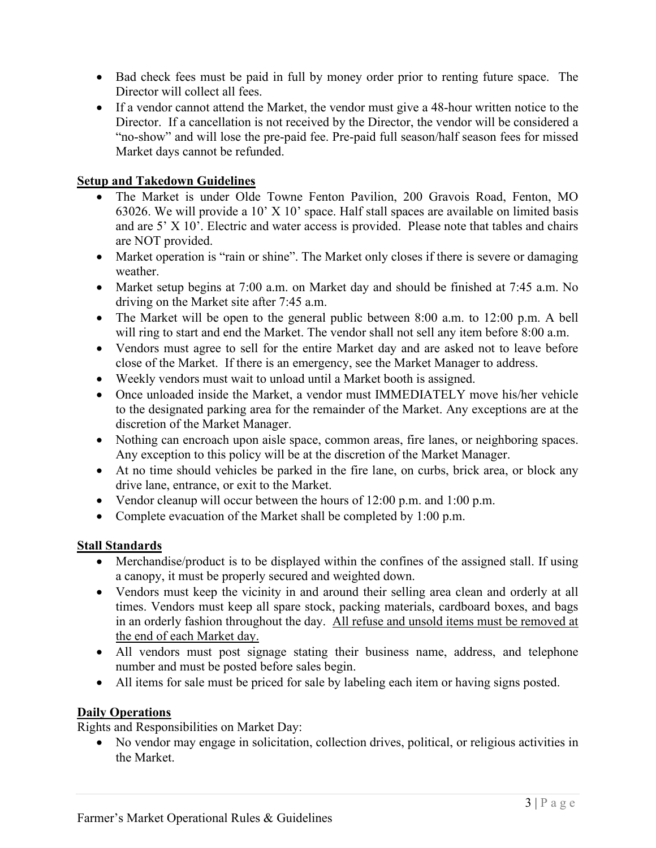- Bad check fees must be paid in full by money order prior to renting future space. The Director will collect all fees.
- If a vendor cannot attend the Market, the vendor must give a 48-hour written notice to the Director. If a cancellation is not received by the Director, the vendor will be considered a "no-show" and will lose the pre-paid fee. Pre-paid full season/half season fees for missed Market days cannot be refunded.

#### **Setup and Takedown Guidelines**

- The Market is under Olde Towne Fenton Pavilion, 200 Gravois Road, Fenton, MO 63026. We will provide a 10' X 10' space. Half stall spaces are available on limited basis and are 5' X 10'. Electric and water access is provided. Please note that tables and chairs are NOT provided.
- Market operation is "rain or shine". The Market only closes if there is severe or damaging weather.
- Market setup begins at 7:00 a.m. on Market day and should be finished at 7:45 a.m. No driving on the Market site after 7:45 a.m.
- The Market will be open to the general public between 8:00 a.m. to 12:00 p.m. A bell will ring to start and end the Market. The vendor shall not sell any item before 8:00 a.m.
- Vendors must agree to sell for the entire Market day and are asked not to leave before close of the Market. If there is an emergency, see the Market Manager to address.
- Weekly vendors must wait to unload until a Market booth is assigned.
- Once unloaded inside the Market, a vendor must IMMEDIATELY move his/her vehicle to the designated parking area for the remainder of the Market. Any exceptions are at the discretion of the Market Manager.
- Nothing can encroach upon aisle space, common areas, fire lanes, or neighboring spaces. Any exception to this policy will be at the discretion of the Market Manager.
- At no time should vehicles be parked in the fire lane, on curbs, brick area, or block any drive lane, entrance, or exit to the Market.
- Vendor cleanup will occur between the hours of 12:00 p.m. and 1:00 p.m.
- Complete evacuation of the Market shall be completed by 1:00 p.m.

# **Stall Standards**

- Merchandise/product is to be displayed within the confines of the assigned stall. If using a canopy, it must be properly secured and weighted down.
- Vendors must keep the vicinity in and around their selling area clean and orderly at all times. Vendors must keep all spare stock, packing materials, cardboard boxes, and bags in an orderly fashion throughout the day. All refuse and unsold items must be removed at the end of each Market day.
- All vendors must post signage stating their business name, address, and telephone number and must be posted before sales begin.
- All items for sale must be priced for sale by labeling each item or having signs posted.

#### **Daily Operations**

Rights and Responsibilities on Market Day:

• No vendor may engage in solicitation, collection drives, political, or religious activities in the Market.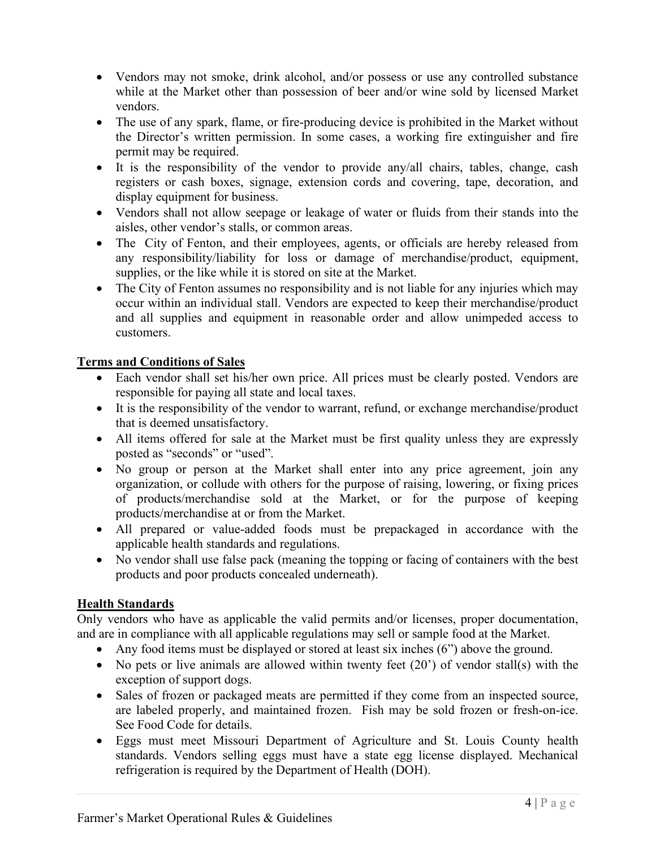- Vendors may not smoke, drink alcohol, and/or possess or use any controlled substance while at the Market other than possession of beer and/or wine sold by licensed Market vendors.
- The use of any spark, flame, or fire-producing device is prohibited in the Market without the Director's written permission. In some cases, a working fire extinguisher and fire permit may be required.
- It is the responsibility of the vendor to provide any/all chairs, tables, change, cash registers or cash boxes, signage, extension cords and covering, tape, decoration, and display equipment for business.
- Vendors shall not allow seepage or leakage of water or fluids from their stands into the aisles, other vendor's stalls, or common areas.
- The City of Fenton, and their employees, agents, or officials are hereby released from any responsibility/liability for loss or damage of merchandise/product, equipment, supplies, or the like while it is stored on site at the Market.
- The City of Fenton assumes no responsibility and is not liable for any injuries which may occur within an individual stall. Vendors are expected to keep their merchandise/product and all supplies and equipment in reasonable order and allow unimpeded access to customers.

# **Terms and Conditions of Sales**

- Each vendor shall set his/her own price. All prices must be clearly posted. Vendors are responsible for paying all state and local taxes.
- It is the responsibility of the vendor to warrant, refund, or exchange merchandise/product that is deemed unsatisfactory.
- All items offered for sale at the Market must be first quality unless they are expressly posted as "seconds" or "used".
- No group or person at the Market shall enter into any price agreement, join any organization, or collude with others for the purpose of raising, lowering, or fixing prices of products/merchandise sold at the Market, or for the purpose of keeping products/merchandise at or from the Market.
- All prepared or value-added foods must be prepackaged in accordance with the applicable health standards and regulations.
- No vendor shall use false pack (meaning the topping or facing of containers with the best products and poor products concealed underneath).

# **Health Standards**

Only vendors who have as applicable the valid permits and/or licenses, proper documentation, and are in compliance with all applicable regulations may sell or sample food at the Market.

- Any food items must be displayed or stored at least six inches (6") above the ground.
- No pets or live animals are allowed within twenty feet (20') of vendor stall(s) with the exception of support dogs.
- Sales of frozen or packaged meats are permitted if they come from an inspected source, are labeled properly, and maintained frozen. Fish may be sold frozen or fresh-on-ice. See Food Code for details.
- Eggs must meet Missouri Department of Agriculture and St. Louis County health standards. Vendors selling eggs must have a state egg license displayed. Mechanical refrigeration is required by the Department of Health (DOH).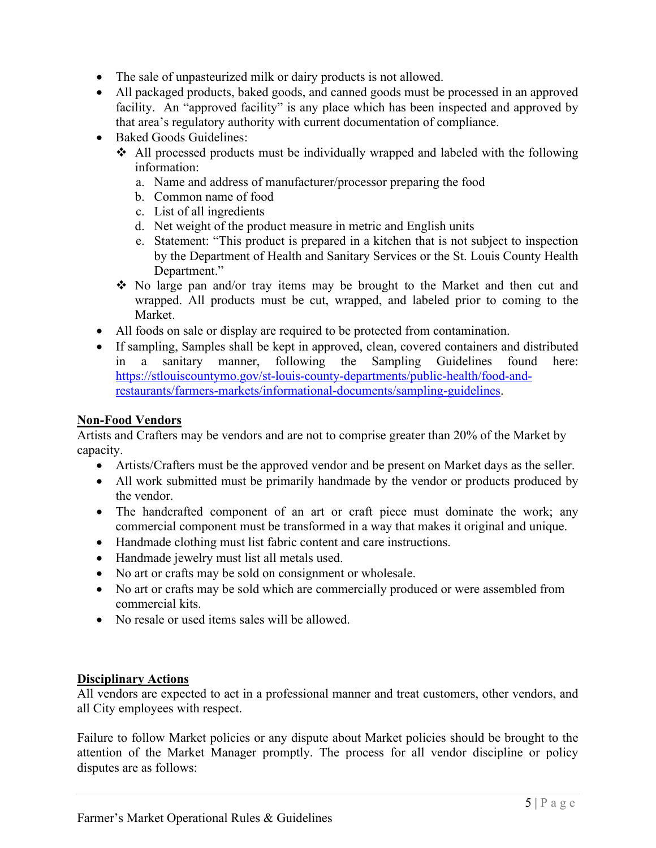- The sale of unpasteurized milk or dairy products is not allowed.
- All packaged products, baked goods, and canned goods must be processed in an approved facility. An "approved facility" is any place which has been inspected and approved by that area's regulatory authority with current documentation of compliance.
- Baked Goods Guidelines:
	- All processed products must be individually wrapped and labeled with the following information:
		- a. Name and address of manufacturer/processor preparing the food
		- b. Common name of food
		- c. List of all ingredients
		- d. Net weight of the product measure in metric and English units
		- e. Statement: "This product is prepared in a kitchen that is not subject to inspection by the Department of Health and Sanitary Services or the St. Louis County Health Department."
	- No large pan and/or tray items may be brought to the Market and then cut and wrapped. All products must be cut, wrapped, and labeled prior to coming to the Market.
- All foods on sale or display are required to be protected from contamination.
- If sampling, Samples shall be kept in approved, clean, covered containers and distributed in a sanitary manner, following the Sampling Guidelines found here: https://stlouiscountymo.gov/st-louis-county-departments/public-health/food-andrestaurants/farmers-markets/informational-documents/sampling-guidelines.

### **Non-Food Vendors**

Artists and Crafters may be vendors and are not to comprise greater than 20% of the Market by capacity.

- Artists/Crafters must be the approved vendor and be present on Market days as the seller.
- All work submitted must be primarily handmade by the vendor or products produced by the vendor.
- The handcrafted component of an art or craft piece must dominate the work; any commercial component must be transformed in a way that makes it original and unique.
- Handmade clothing must list fabric content and care instructions.
- Handmade jewelry must list all metals used.
- No art or crafts may be sold on consignment or wholesale.
- No art or crafts may be sold which are commercially produced or were assembled from commercial kits.
- No resale or used items sales will be allowed.

#### **Disciplinary Actions**

All vendors are expected to act in a professional manner and treat customers, other vendors, and all City employees with respect.

Failure to follow Market policies or any dispute about Market policies should be brought to the attention of the Market Manager promptly. The process for all vendor discipline or policy disputes are as follows: